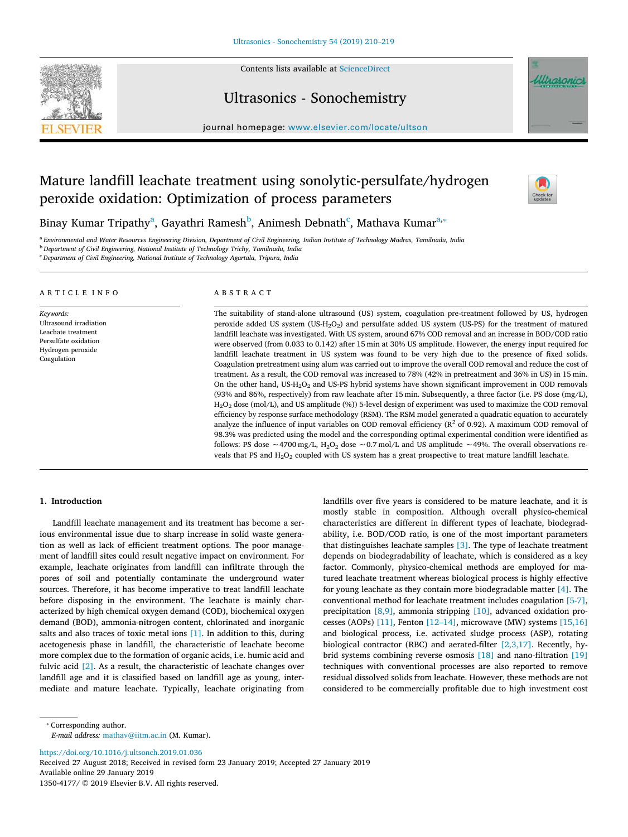

Contents lists available at [ScienceDirect](http://www.sciencedirect.com/science/journal/13504177)

## Ultrasonics - Sonochemistry

journal homepage: [www.elsevier.com/locate/ultson](https://www.elsevier.com/locate/ultson)

# Mature landfill leachate treatment using sonolytic-persulfate/hydrogen peroxide oxidation: Optimization of process parameters



Ultrasonic

Bin[a](#page-0-0)y Kumar Tripathy<sup>a</sup>, Gayathri Ramesh<sup>[b](#page-0-1)</sup>, Animesh Debnath<sup>[c](#page-0-2)</sup>, Mathava Kumar<sup>a,</sup>\*

<span id="page-0-0"></span>a *Environmental and Water Resources Engineering Division, Department of Civil Engineering, Indian Institute of Technology Madras, Tamilnadu, India*

<span id="page-0-1"></span><sup>b</sup> *Department of Civil Engineering, National Institute of Technology Trichy, Tamilnadu, India*

<span id="page-0-2"></span><sup>c</sup> *Department of Civil Engineering, National Institute of Technology Agartala, Tripura, India*

### ARTICLE INFO

*Keywords:* Ultrasound irradiation Leachate treatment Persulfate oxidation Hydrogen peroxide Coagulation

### ABSTRACT

The suitability of stand-alone ultrasound (US) system, coagulation pre-treatment followed by US, hydrogen peroxide added US system (US-H<sub>2</sub>O<sub>2</sub>) and persulfate added US system (US-PS) for the treatment of matured landfill leachate was investigated. With US system, around 67% COD removal and an increase in BOD/COD ratio were observed (from 0.033 to 0.142) after 15 min at 30% US amplitude. However, the energy input required for landfill leachate treatment in US system was found to be very high due to the presence of fixed solids. Coagulation pretreatment using alum was carried out to improve the overall COD removal and reduce the cost of treatment. As a result, the COD removal was increased to 78% (42% in pretreatment and 36% in US) in 15 min. On the other hand, US-H2O<sup>2</sup> and US-PS hybrid systems have shown significant improvement in COD removals (93% and 86%, respectively) from raw leachate after 15 min. Subsequently, a three factor (i.e. PS dose (mg/L), H2O<sup>2</sup> dose (mol/L), and US amplitude (%)) 5-level design of experiment was used to maximize the COD removal efficiency by response surface methodology (RSM). The RSM model generated a quadratic equation to accurately analyze the influence of input variables on COD removal efficiency ( $R^2$  of 0.92). A maximum COD removal of 98.3% was predicted using the model and the corresponding optimal experimental condition were identified as follows: PS dose ∼4700 mg/L, H<sub>2</sub>O<sub>2</sub> dose ∼0.7 mol/L and US amplitude ~49%. The overall observations reveals that PS and  $H_2O_2$  coupled with US system has a great prospective to treat mature landfill leachate.

#### **1. Introduction**

Landfill leachate management and its treatment has become a serious environmental issue due to sharp increase in solid waste generation as well as lack of efficient treatment options. The poor management of landfill sites could result negative impact on environment. For example, leachate originates from landfill can infiltrate through the pores of soil and potentially contaminate the underground water sources. Therefore, it has become imperative to treat landfill leachate before disposing in the environment. The leachate is mainly characterized by high chemical oxygen demand (COD), biochemical oxygen demand (BOD), ammonia-nitrogen content, chlorinated and inorganic salts and also traces of toxic metal ions [\[1\]](#page-8-0). In addition to this, during acetogenesis phase in landfill, the characteristic of leachate become more complex due to the formation of organic acids, i.e. humic acid and fulvic acid [\[2\].](#page-8-1) As a result, the characteristic of leachate changes over landfill age and it is classified based on landfill age as young, intermediate and mature leachate. Typically, leachate originating from

landfills over five years is considered to be mature leachate, and it is mostly stable in composition. Although overall physico-chemical characteristics are different in different types of leachate, biodegradability, i.e. BOD/COD ratio, is one of the most important parameters that distinguishes leachate samples [\[3\]](#page-8-2). The type of leachate treatment depends on biodegradability of leachate, which is considered as a key factor. Commonly, physico-chemical methods are employed for matured leachate treatment whereas biological process is highly effective for young leachate as they contain more biodegradable matter [\[4\].](#page-8-3) The conventional method for leachate treatment includes coagulation [\[5-7\]](#page-9-0), precipitation [\[8,9\],](#page-9-1) ammonia stripping [\[10\],](#page-9-2) advanced oxidation processes (AOPs)  $[11]$ , Fenton  $[12-14]$ , microwave (MW) systems  $[15,16]$ and biological process, i.e. activated sludge process (ASP), rotating biological contractor (RBC) and aerated-filter [\[2,3,17\]](#page-8-1). Recently, hybrid systems combining reverse osmosis [\[18\]](#page-9-6) and nano-filtration [\[19\]](#page-9-7) techniques with conventional processes are also reported to remove residual dissolved solids from leachate. However, these methods are not considered to be commercially profitable due to high investment cost

*E-mail address:* [mathav@iitm.ac.in](mailto:mathav@iitm.ac.in) (M. Kumar).

<https://doi.org/10.1016/j.ultsonch.2019.01.036> Received 27 August 2018; Received in revised form 23 January 2019; Accepted 27 January 2019 Available online 29 January 2019 1350-4177/ © 2019 Elsevier B.V. All rights reserved.

<span id="page-0-3"></span><sup>⁎</sup> Corresponding author.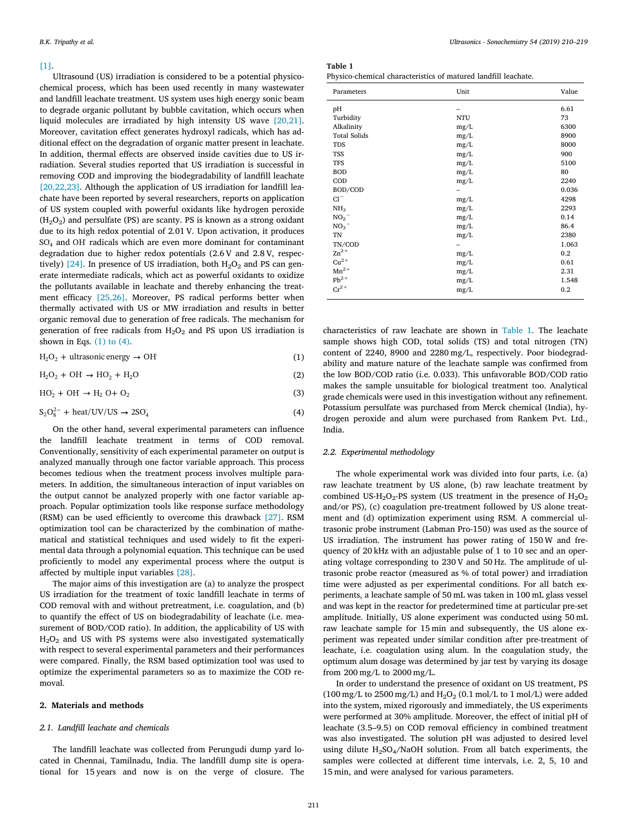#### [\[1\].](#page-8-0)

Ultrasound (US) irradiation is considered to be a potential physicochemical process, which has been used recently in many wastewater and landfill leachate treatment. US system uses high energy sonic beam to degrade organic pollutant by bubble cavitation, which occurs when liquid molecules are irradiated by high intensity US wave [\[20,21\]](#page-9-8). Moreover, cavitation effect generates hydroxyl radicals, which has additional effect on the degradation of organic matter present in leachate. In addition, thermal effects are observed inside cavities due to US irradiation. Several studies reported that US irradiation is successful in removing COD and improving the biodegradability of landfill leachate [\[20,22,23\].](#page-9-8) Although the application of US irradiation for landfill leachate have been reported by several researchers, reports on application of US system coupled with powerful oxidants like hydrogen peroxide  $(H<sub>2</sub>O<sub>2</sub>)$  and persulfate (PS) are scanty. PS is known as a strong oxidant due to its high redox potential of 2.01 V. Upon activation, it produces SO<sub>4</sub> and OH radicals which are even more dominant for contaminant degradation due to higher redox potentials (2.6 V and 2.8 V, respectively)  $[24]$ . In presence of US irradiation, both  $H_2O_2$  and PS can generate intermediate radicals, which act as powerful oxidants to oxidize the pollutants available in leachate and thereby enhancing the treatment efficacy [\[25,26\].](#page-9-10) Moreover, PS radical performs better when thermally activated with US or MW irradiation and results in better organic removal due to generation of free radicals. The mechanism for generation of free radicals from  $H_2O_2$  and PS upon US irradiation is shown in Eqs.  $(1)$  to  $(4)$ .

<span id="page-1-0"></span> $H_2O_2$  + ultrasonic energy  $\rightarrow$  OH (1)

$$
H_2O_2 + OH \rightarrow HO_2 + H_2O \tag{2}
$$

$$
HO_2 + OH \rightarrow H_2 O + O_2 \tag{3}
$$

<span id="page-1-2"></span>
$$
S_2O_8^{2-} + \text{heat}/UV/US \rightarrow 2SO_4 \tag{4}
$$

On the other hand, several experimental parameters can influence the landfill leachate treatment in terms of COD removal. Conventionally, sensitivity of each experimental parameter on output is analyzed manually through one factor variable approach. This process becomes tedious when the treatment process involves multiple parameters. In addition, the simultaneous interaction of input variables on the output cannot be analyzed properly with one factor variable approach. Popular optimization tools like response surface methodology (RSM) can be used efficiently to overcome this drawback [\[27\].](#page-9-11) RSM optimization tool can be characterized by the combination of mathematical and statistical techniques and used widely to fit the experimental data through a polynomial equation. This technique can be used proficiently to model any experimental process where the output is affected by multiple input variables [\[28\]](#page-9-12).

The major aims of this investigation are (a) to analyze the prospect US irradiation for the treatment of toxic landfill leachate in terms of COD removal with and without pretreatment, i.e. coagulation, and (b) to quantify the effect of US on biodegradability of leachate (i.e. measurement of BOD/COD ratio). In addition, the applicability of US with  $H<sub>2</sub>O<sub>2</sub>$  and US with PS systems were also investigated systematically with respect to several experimental parameters and their performances were compared. Finally, the RSM based optimization tool was used to optimize the experimental parameters so as to maximize the COD removal.

### **2. Materials and methods**

#### *2.1. Landfill leachate and chemicals*

The landfill leachate was collected from Perungudi dump yard located in Chennai, Tamilnadu, India. The landfill dump site is operational for 15 years and now is on the verge of closure. The

<span id="page-1-1"></span>**Table 1**

| Physico-chemical characteristics of matured landfill leachate. |  |
|----------------------------------------------------------------|--|
|----------------------------------------------------------------|--|

| Parameters          | Unit       | Value |
|---------------------|------------|-------|
| pH                  |            | 6.61  |
| Turbidity           | <b>NTU</b> | 73    |
| Alkalinity          | mg/L       | 6300  |
| <b>Total Solids</b> | mg/L       | 8900  |
| <b>TDS</b>          | mg/L       | 8000  |
| TSS                 | mg/L       | 900   |
| TFS                 | mg/L       | 5100  |
| <b>BOD</b>          | mg/L       | 80    |
| COD                 | mg/L       | 2240  |
| BOD/COD             |            | 0.036 |
| $Cl^-$              | mg/L       | 4298  |
| NH <sub>3</sub>     | mg/L       | 2293  |
| $NO_2^-$            | mg/L       | 0.14  |
| $NO_3^-$            | mg/L       | 86.4  |
| TN                  | mg/L       | 2380  |
| TN/COD              | -          | 1.063 |
| $\text{Zn}^{2+}$    | mg/L       | 0.2   |
| $Cu2+$              | mg/L       | 0.61  |
| $Mn^{2+}$           | mg/L       | 2.31  |
| $Pb^{2+}$           | mg/L       | 1.548 |
| $Cr^{2+}$           | mg/L       | 0.2   |
|                     |            |       |

characteristics of raw leachate are shown in [Table 1.](#page-1-1) The leachate sample shows high COD, total solids (TS) and total nitrogen (TN) content of 2240, 8900 and 2280 mg/L, respectively. Poor biodegradability and mature nature of the leachate sample was confirmed from the low BOD/COD ratio (i.e. 0.033). This unfavorable BOD/COD ratio makes the sample unsuitable for biological treatment too. Analytical grade chemicals were used in this investigation without any refinement. Potassium persulfate was purchased from Merck chemical (India), hydrogen peroxide and alum were purchased from Rankem Pvt. Ltd., India.

## *2.2. Experimental methodology*

The whole experimental work was divided into four parts, i.e. (a) raw leachate treatment by US alone, (b) raw leachate treatment by combined US-H<sub>2</sub>O<sub>2</sub>-PS system (US treatment in the presence of  $H_2O_2$ and/or PS), (c) coagulation pre-treatment followed by US alone treatment and (d) optimization experiment using RSM. A commercial ultrasonic probe instrument (Labman Pro-150) was used as the source of US irradiation. The instrument has power rating of 150 W and frequency of 20 kHz with an adjustable pulse of 1 to 10 sec and an operating voltage corresponding to 230 V and 50 Hz. The amplitude of ultrasonic probe reactor (measured as % of total power) and irradiation time were adjusted as per experimental conditions. For all batch experiments, a leachate sample of 50 mL was taken in 100 mL glass vessel and was kept in the reactor for predetermined time at particular pre-set amplitude. Initially, US alone experiment was conducted using 50 mL raw leachate sample for 15 min and subsequently, the US alone experiment was repeated under similar condition after pre-treatment of leachate, i.e. coagulation using alum. In the coagulation study, the optimum alum dosage was determined by jar test by varying its dosage from 200 mg/L to 2000 mg/L.

In order to understand the presence of oxidant on US treatment, PS (100 mg/L to 2500 mg/L) and  $H_2O_2$  (0.1 mol/L to 1 mol/L) were added into the system, mixed rigorously and immediately, the US experiments were performed at 30% amplitude. Moreover, the effect of initial pH of leachate (3.5–9.5) on COD removal efficiency in combined treatment was also investigated. The solution pH was adjusted to desired level using dilute  $H_2SO_4/NaOH$  solution. From all batch experiments, the samples were collected at different time intervals, i.e. 2, 5, 10 and 15 min, and were analysed for various parameters.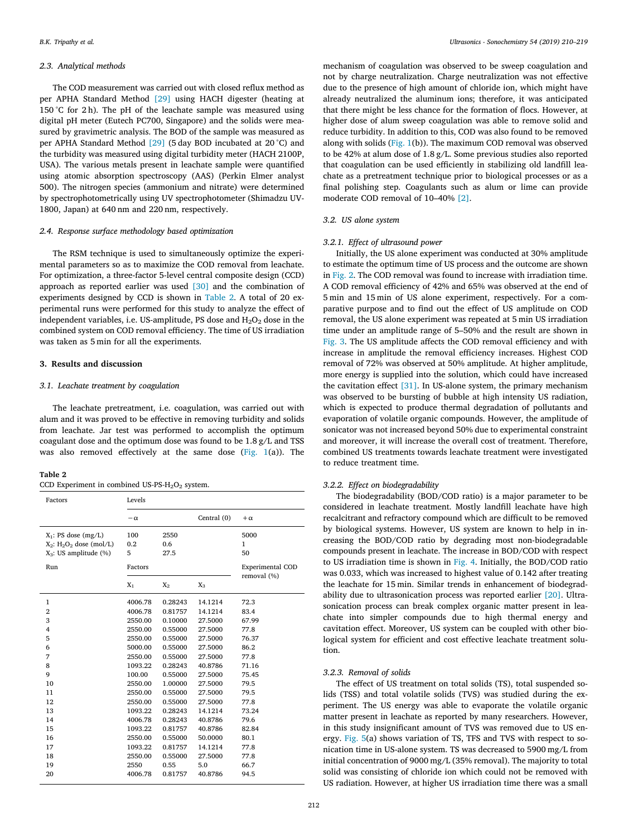#### *2.3. Analytical methods*

The COD measurement was carried out with closed reflux method as per APHA Standard Method [\[29\]](#page-9-13) using HACH digester (heating at 150 °C for 2h). The pH of the leachate sample was measured using digital pH meter (Eutech PC700, Singapore) and the solids were measured by gravimetric analysis. The BOD of the sample was measured as per APHA Standard Method [\[29\]](#page-9-13) (5 day BOD incubated at 20 °C) and the turbidity was measured using digital turbidity meter (HACH 2100P, USA). The various metals present in leachate sample were quantified using atomic absorption spectroscopy (AAS) (Perkin Elmer analyst 500). The nitrogen species (ammonium and nitrate) were determined by spectrophotometrically using UV spectrophotometer (Shimadzu UV-1800, Japan) at 640 nm and 220 nm, respectively.

## *2.4. Response surface methodology based optimization*

The RSM technique is used to simultaneously optimize the experimental parameters so as to maximize the COD removal from leachate. For optimization, a three-factor 5-level central composite design (CCD) approach as reported earlier was used [\[30\]](#page-9-14) and the combination of experiments designed by CCD is shown in [Table 2.](#page-2-0) A total of 20 experimental runs were performed for this study to analyze the effect of independent variables, i.e. US-amplitude, PS dose and  $H_2O_2$  dose in the combined system on COD removal efficiency. The time of US irradiation was taken as 5 min for all the experiments.

## **3. Results and discussion**

#### *3.1. Leachate treatment by coagulation*

The leachate pretreatment, i.e. coagulation, was carried out with alum and it was proved to be effective in removing turbidity and solids from leachate. Jar test was performed to accomplish the optimum coagulant dose and the optimum dose was found to be 1.8 g/L and TSS was also removed effectively at the same dose [\(Fig. 1\(](#page-3-0)a)). The

## <span id="page-2-0"></span>**Table 2**

|  |  |  |  | CCD Experiment in combined US-PS- $H_2O_2$ system. |  |
|--|--|--|--|----------------------------------------------------|--|
|--|--|--|--|----------------------------------------------------|--|

| Factors                       | Levels    |         |             |                                        |
|-------------------------------|-----------|---------|-------------|----------------------------------------|
|                               | $-\alpha$ |         | Central (0) | $+\alpha$                              |
| $X_1$ : PS dose $(mg/L)$      | 100       | 2550    |             | 5000                                   |
| $X_2$ : $H_2O_2$ dose (mol/L) | 0.2       | 0.6     |             | $\mathbf{1}$                           |
| $X_3$ : US amplitude (%)      | 5         | 27.5    |             | 50                                     |
| Run                           | Factors   |         |             | <b>Experimental COD</b><br>removal (%) |
|                               | $X_1$     | $X_2$   | $X_3$       |                                        |
| 1                             | 4006.78   | 0.28243 | 14.1214     | 72.3                                   |
| $\overline{2}$                | 4006.78   | 0.81757 | 14.1214     | 83.4                                   |
| 3                             | 2550.00   | 0.10000 | 27.5000     | 67.99                                  |
| 4                             | 2550.00   | 0.55000 | 27.5000     | 77.8                                   |
| 5                             | 2550.00   | 0.55000 | 27.5000     | 76.37                                  |
| 6                             | 5000.00   | 0.55000 | 27.5000     | 86.2                                   |
| 7                             | 2550.00   | 0.55000 | 27.5000     | 77.8                                   |
| 8                             | 1093.22   | 0.28243 | 40.8786     | 71.16                                  |
| 9                             | 100.00    | 0.55000 | 27.5000     | 75.45                                  |
| 10                            | 2550.00   | 1.00000 | 27.5000     | 79.5                                   |
| 11                            | 2550.00   | 0.55000 | 27.5000     | 79.5                                   |
| 12                            | 2550.00   | 0.55000 | 27.5000     | 77.8                                   |
| 13                            | 1093.22   | 0.28243 | 14.1214     | 73.24                                  |
| 14                            | 4006.78   | 0.28243 | 40.8786     | 79.6                                   |
| 15                            | 1093.22   | 0.81757 | 40.8786     | 82.84                                  |
| 16                            | 2550.00   | 0.55000 | 50.0000     | 80.1                                   |
| 17                            | 1093.22   | 0.81757 | 14.1214     | 77.8                                   |
| 18                            | 2550.00   | 0.55000 | 27.5000     | 77.8                                   |
| 19                            | 2550      | 0.55    | 5.0         | 66.7                                   |
| 20                            | 4006.78   | 0.81757 | 40.8786     | 94.5                                   |

mechanism of coagulation was observed to be sweep coagulation and not by charge neutralization. Charge neutralization was not effective due to the presence of high amount of chloride ion, which might have already neutralized the aluminum ions; therefore, it was anticipated that there might be less chance for the formation of flocs. However, at higher dose of alum sweep coagulation was able to remove solid and reduce turbidity. In addition to this, COD was also found to be removed along with solids [\(Fig. 1\(](#page-3-0)b)). The maximum COD removal was observed to be 42% at alum dose of 1.8 g/L. Some previous studies also reported that coagulation can be used efficiently in stabilizing old landfill leachate as a pretreatment technique prior to biological processes or as a final polishing step. Coagulants such as alum or lime can provide moderate COD removal of 10–40% [\[2\]](#page-8-1).

#### *3.2. US alone system*

#### *3.2.1. Effect of ultrasound power*

Initially, the US alone experiment was conducted at 30% amplitude to estimate the optimum time of US process and the outcome are shown in [Fig. 2](#page-3-1). The COD removal was found to increase with irradiation time. A COD removal efficiency of 42% and 65% was observed at the end of 5 min and 15 min of US alone experiment, respectively. For a comparative purpose and to find out the effect of US amplitude on COD removal, the US alone experiment was repeated at 5 min US irradiation time under an amplitude range of 5–50% and the result are shown in [Fig. 3.](#page-4-0) The US amplitude affects the COD removal efficiency and with increase in amplitude the removal efficiency increases. Highest COD removal of 72% was observed at 50% amplitude. At higher amplitude, more energy is supplied into the solution, which could have increased the cavitation effect [\[31\].](#page-9-15) In US-alone system, the primary mechanism was observed to be bursting of bubble at high intensity US radiation, which is expected to produce thermal degradation of pollutants and evaporation of volatile organic compounds. However, the amplitude of sonicator was not increased beyond 50% due to experimental constraint and moreover, it will increase the overall cost of treatment. Therefore, combined US treatments towards leachate treatment were investigated to reduce treatment time.

#### *3.2.2. Effect on biodegradability*

The biodegradability (BOD/COD ratio) is a major parameter to be considered in leachate treatment. Mostly landfill leachate have high recalcitrant and refractory compound which are difficult to be removed by biological systems. However, US system are known to help in increasing the BOD/COD ratio by degrading most non-biodegradable compounds present in leachate. The increase in BOD/COD with respect to US irradiation time is shown in [Fig. 4.](#page-4-1) Initially, the BOD/COD ratio was 0.033, which was increased to highest value of 0.142 after treating the leachate for 15 min. Similar trends in enhancement of biodegradability due to ultrasonication process was reported earlier [\[20\]](#page-9-8). Ultrasonication process can break complex organic matter present in leachate into simpler compounds due to high thermal energy and cavitation effect. Moreover, US system can be coupled with other biological system for efficient and cost effective leachate treatment solution.

#### *3.2.3. Removal of solids*

The effect of US treatment on total solids (TS), total suspended solids (TSS) and total volatile solids (TVS) was studied during the experiment. The US energy was able to evaporate the volatile organic matter present in leachate as reported by many researchers. However, in this study insignificant amount of TVS was removed due to US energy. [Fig. 5](#page-5-0)(a) shows variation of TS, TFS and TVS with respect to sonication time in US-alone system. TS was decreased to 5900 mg/L from initial concentration of 9000 mg/L (35% removal). The majority to total solid was consisting of chloride ion which could not be removed with US radiation. However, at higher US irradiation time there was a small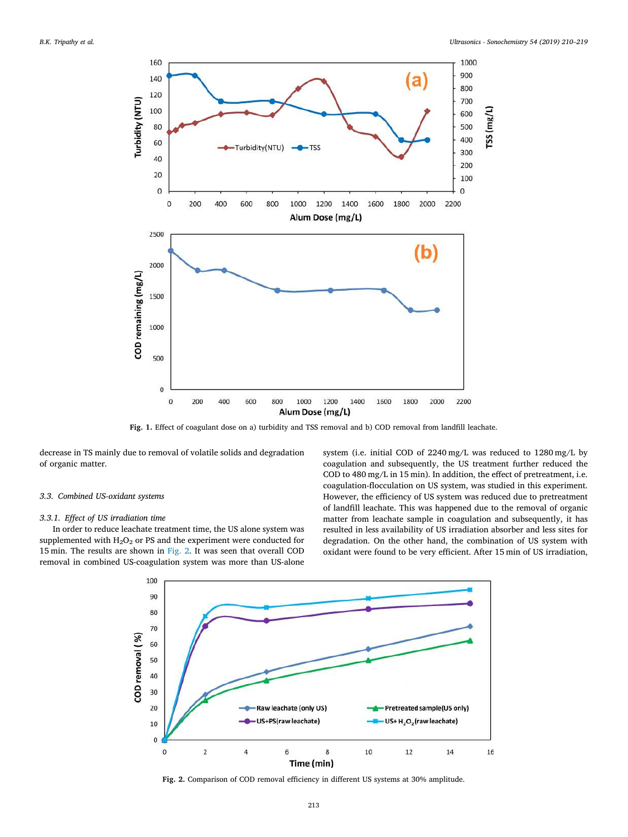<span id="page-3-0"></span>

Fig. 1. Effect of coagulant dose on a) turbidity and TSS removal and b) COD removal from landfill leachate.

decrease in TS mainly due to removal of volatile solids and degradation of organic matter.

#### *3.3. Combined US-oxidant systems*

#### *3.3.1. Effect of US irradiation time*

<span id="page-3-1"></span>In order to reduce leachate treatment time, the US alone system was supplemented with  $H_2O_2$  or PS and the experiment were conducted for 15 min. The results are shown in [Fig. 2.](#page-3-1) It was seen that overall COD removal in combined US-coagulation system was more than US-alone system (i.e. initial COD of 2240 mg/L was reduced to 1280 mg/L by coagulation and subsequently, the US treatment further reduced the COD to 480 mg/L in 15 min). In addition, the effect of pretreatment, i.e. coagulation-flocculation on US system, was studied in this experiment. However, the efficiency of US system was reduced due to pretreatment of landfill leachate. This was happened due to the removal of organic matter from leachate sample in coagulation and subsequently, it has resulted in less availability of US irradiation absorber and less sites for degradation. On the other hand, the combination of US system with oxidant were found to be very efficient. After 15 min of US irradiation,



**Fig. 2.** Comparison of COD removal efficiency in different US systems at 30% amplitude.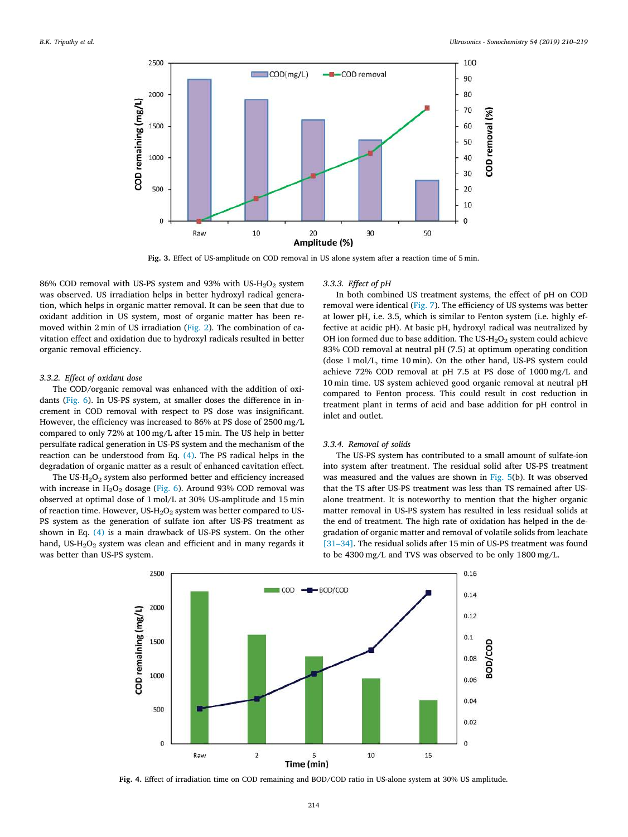<span id="page-4-0"></span>

**Fig. 3.** Effect of US-amplitude on COD removal in US alone system after a reaction time of 5 min.

86% COD removal with US-PS system and 93% with US-H<sub>2</sub>O<sub>2</sub> system was observed. US irradiation helps in better hydroxyl radical generation, which helps in organic matter removal. It can be seen that due to oxidant addition in US system, most of organic matter has been removed within 2 min of US irradiation([Fig. 2\)](#page-3-1). The combination of cavitation effect and oxidation due to hydroxyl radicals resulted in better organic removal efficiency.

#### *3.3.2. Effect of oxidant dose*

The COD/organic removal was enhanced with the addition of oxidants([Fig. 6](#page-5-1)). In US-PS system, at smaller doses the difference in increment in COD removal with respect to PS dose was insignificant. However, the efficiency was increased to 86% at PS dose of 2500 mg/L compared to only 72% at 100 mg/L after 15 min. The US help in better persulfate radical generation in US-PS system and the mechanism of the reaction can be understood from Eq. [\(4\)](#page-1-2). The PS radical helps in the degradation of organic matter as a result of enhanced cavitation effect.

The US-H<sub>2</sub>O<sub>2</sub> system also performed better and efficiency increased withincrease in  $H_2O_2$  dosage ([Fig. 6\)](#page-5-1). Around 93% COD removal was observed at optimal dose of 1 mol/L at 30% US-amplitude and 15 min of reaction time. However,  $US-H_2O_2$  system was better compared to US-PS system as the generation of sulfate ion after US-PS treatment as shown in Eq. [\(4\)](#page-1-2) is a main drawback of US-PS system. On the other hand, US- $H_2O_2$  system was clean and efficient and in many regards it was better than US-PS system.

#### *3.3.3. Effect of pH*

In both combined US treatment systems, the effect of pH on COD removal were identical [\(Fig. 7](#page-6-0)). The efficiency of US systems was better at lower pH, i.e. 3.5, which is similar to Fenton system (i.e. highly effective at acidic pH). At basic pH, hydroxyl radical was neutralized by OH ion formed due to base addition. The US- $H_2O_2$  system could achieve 83% COD removal at neutral pH (7.5) at optimum operating condition (dose 1 mol/L, time 10 min). On the other hand, US-PS system could achieve 72% COD removal at pH 7.5 at PS dose of 1000 mg/L and 10 min time. US system achieved good organic removal at neutral pH compared to Fenton process. This could result in cost reduction in treatment plant in terms of acid and base addition for pH control in inlet and outlet.

### *3.3.4. Removal of solids*

The US-PS system has contributed to a small amount of sulfate-ion into system after treatment. The residual solid after US-PS treatment was measured and the values are shown in [Fig. 5\(](#page-5-0)b). It was observed that the TS after US-PS treatment was less than TS remained after USalone treatment. It is noteworthy to mention that the higher organic matter removal in US-PS system has resulted in less residual solids at the end of treatment. The high rate of oxidation has helped in the degradation of organic matter and removal of volatile solids from leachate [\[31–34\]](#page-9-16). The residual solids after 15 min of US-PS treatment was found to be 4300 mg/L and TVS was observed to be only 1800 mg/L.

<span id="page-4-1"></span>

**Fig. 4.** Effect of irradiation time on COD remaining and BOD/COD ratio in US-alone system at 30% US amplitude.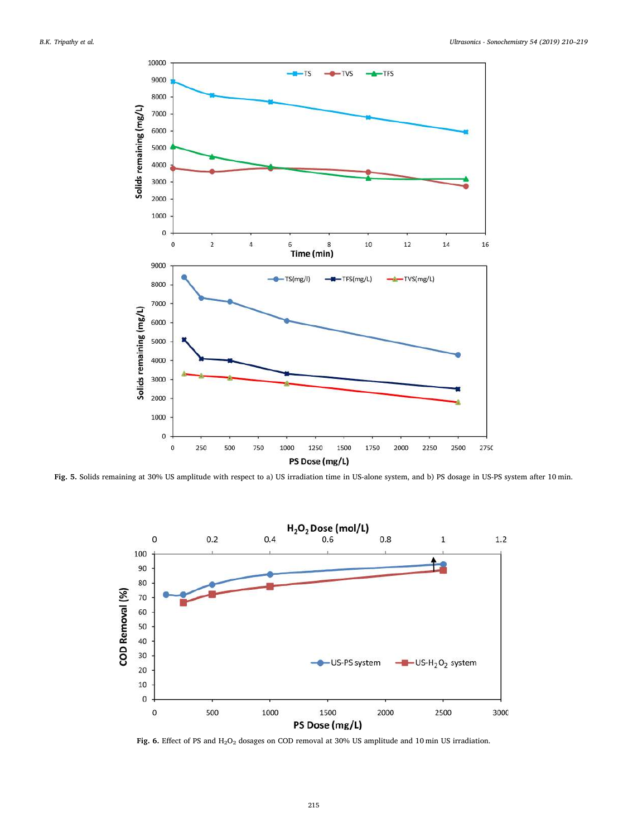<span id="page-5-0"></span>

<span id="page-5-1"></span>**Fig. 5.** Solids remaining at 30% US amplitude with respect to a) US irradiation time in US-alone system, and b) PS dosage in US-PS system after 10 min.



Fig. 6. Effect of PS and H<sub>2</sub>O<sub>2</sub> dosages on COD removal at 30% US amplitude and 10 min US irradiation.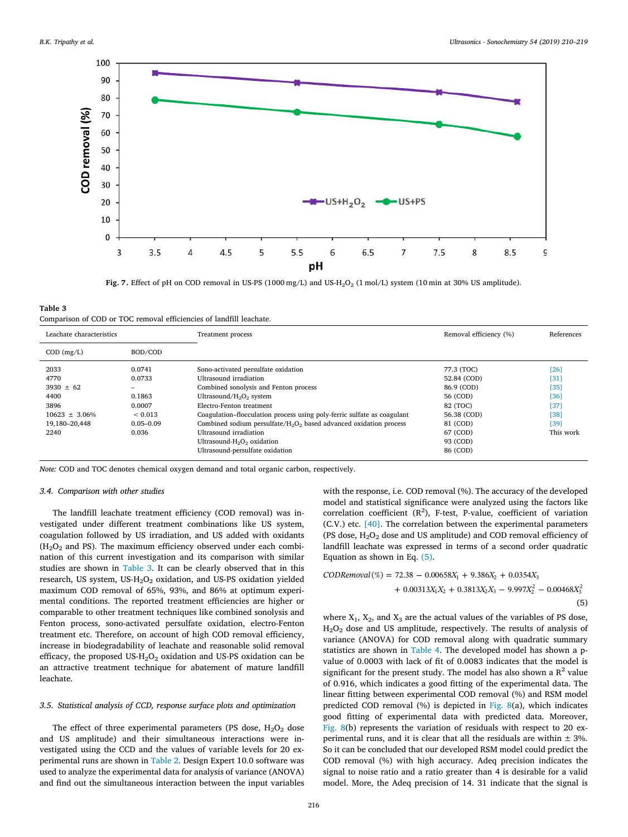<span id="page-6-0"></span>

Fig. 7. Effect of pH on COD removal in US-PS (1000 mg/L) and US-H<sub>2</sub>O<sub>2</sub> (1 mol/L) system (10 min at 30% US amplitude).

<span id="page-6-1"></span>

| Table 3                                                             |
|---------------------------------------------------------------------|
| Comparison of COD or TOC removal efficiencies of landfill leachate. |

| Leachate characteristics                                                                                                                                                   | Treatment process                                                                                                                                                                                                                                                                                                                                                                                                                        | Removal efficiency (%)                                                                                                         | References                                                        |
|----------------------------------------------------------------------------------------------------------------------------------------------------------------------------|------------------------------------------------------------------------------------------------------------------------------------------------------------------------------------------------------------------------------------------------------------------------------------------------------------------------------------------------------------------------------------------------------------------------------------------|--------------------------------------------------------------------------------------------------------------------------------|-------------------------------------------------------------------|
| BOD/COD<br>$COD$ (mg/L)                                                                                                                                                    |                                                                                                                                                                                                                                                                                                                                                                                                                                          |                                                                                                                                |                                                                   |
| 2033<br>0.0741<br>4770<br>0.0733<br>$3930 + 62$<br>-<br>4400<br>0.1863<br>3896<br>0.0007<br>$10623 + 3.06\%$<br>< 0.013<br>19,180-20,448<br>$0.05 - 0.09$<br>2240<br>0.036 | Sono-activated persulfate oxidation<br>Ultrasound irradiation<br>Combined sonolysis and Fenton process<br>Ultrasound/ $H_2O_2$ system<br>Electro-Fenton treatment<br>Coagulation-flocculation process using poly-ferric sulfate as coagulant<br>Combined sodium persulfate/ $H_2O_2$ based advanced oxidation process<br>Ultrasound irradiation<br>Ultrasound-H <sub>2</sub> O <sub>2</sub> oxidation<br>Ultrasound-persulfate oxidation | 77.3 (TOC)<br>52.84 (COD)<br>86.9 (COD)<br>56 (COD)<br>82 (TOC)<br>56.38 (COD)<br>81 (COD)<br>67 (COD)<br>93 (COD)<br>86 (COD) | [26]<br>[31]<br>[35]<br>[36]<br>[37]<br>[38]<br>[39]<br>This work |

*Note:* COD and TOC denotes chemical oxygen demand and total organic carbon, respectively.

### *3.4. Comparison with other studies*

The landfill leachate treatment efficiency (COD removal) was investigated under different treatment combinations like US system, coagulation followed by US irradiation, and US added with oxidants  $(H<sub>2</sub>O<sub>2</sub>$  and PS). The maximum efficiency observed under each combination of this current investigation and its comparison with similar studies are shown in [Table 3.](#page-6-1) It can be clearly observed that in this research, US system, US-H<sub>2</sub>O<sub>2</sub> oxidation, and US-PS oxidation yielded maximum COD removal of 65%, 93%, and 86% at optimum experimental conditions. The reported treatment efficiencies are higher or comparable to other treatment techniques like combined sonolysis and Fenton process, sono-activated persulfate oxidation, electro-Fenton treatment etc. Therefore, on account of high COD removal efficiency, increase in biodegradability of leachate and reasonable solid removal efficacy, the proposed US- $H_2O_2$  oxidation and US-PS oxidation can be an attractive treatment technique for abatement of mature landfill leachate.

### *3.5. Statistical analysis of CCD, response surface plots and optimization*

The effect of three experimental parameters (PS dose,  $H_2O_2$  dose and US amplitude) and their simultaneous interactions were investigated using the CCD and the values of variable levels for 20 experimental runs are shown in [Table 2](#page-2-0). Design Expert 10.0 software was used to analyze the experimental data for analysis of variance (ANOVA) and find out the simultaneous interaction between the input variables

with the response, i.e. COD removal (%). The accuracy of the developed model and statistical significance were analyzed using the factors like correlation coefficient  $(R^2)$ , F-test, P-value, coefficient of variation (C.V.) etc. [\[40\]](#page-9-17). The correlation between the experimental parameters (PS dose,  $H_2O_2$  dose and US amplitude) and COD removal efficiency of landfill leachate was expressed in terms of a second order quadratic Equation as shown in Eq. [\(5\)](#page-6-2).

<span id="page-6-2"></span>
$$
CODEemoval (\%) = 72.38 - 0.00658X1 + 9.386X2 + 0.0354X3 + 0.00313X1X2 + 0.3813X2X3 - 9.997X22 - 0.00468X32
$$
\n(5)

where  $X_1$ ,  $X_2$ , and  $X_3$  are the actual values of the variables of PS dose, H2O<sup>2</sup> dose and US amplitude, respectively. The results of analysis of variance (ANOVA) for COD removal along with quadratic summary statistics are shown in [Table 4](#page-7-0). The developed model has shown a pvalue of 0.0003 with lack of fit of 0.0083 indicates that the model is significant for the present study. The model has also shown a  $R^2$  value of 0.916, which indicates a good fitting of the experimental data. The linear fitting between experimental COD removal (%) and RSM model predicted COD removal (%) is depicted in [Fig. 8\(](#page-7-1)a), which indicates good fitting of experimental data with predicted data. Moreover, [Fig. 8\(](#page-7-1)b) represents the variation of residuals with respect to 20 experimental runs, and it is clear that all the residuals are within  $\pm$  3%. So it can be concluded that our developed RSM model could predict the COD removal (%) with high accuracy. Adeq precision indicates the signal to noise ratio and a ratio greater than 4 is desirable for a valid model. More, the Adeq precision of 14. 31 indicate that the signal is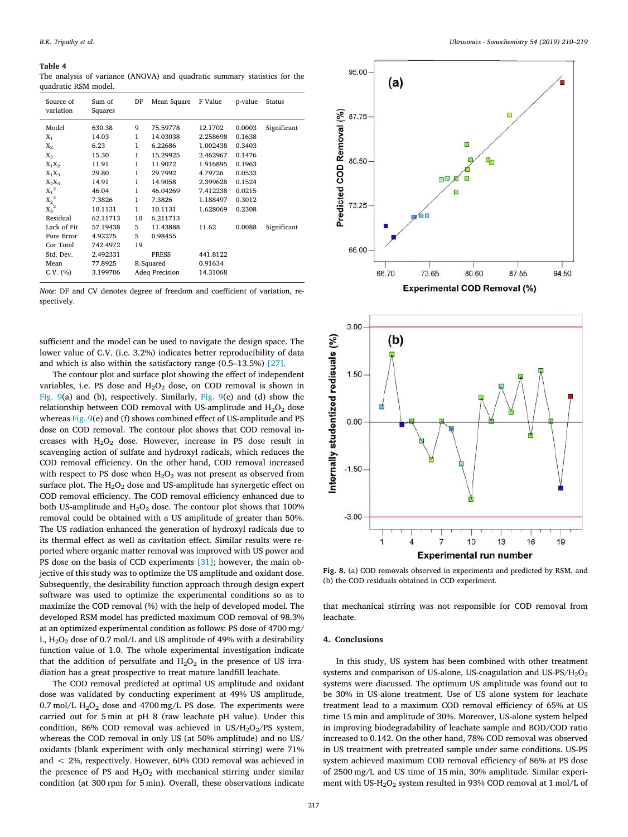#### <span id="page-7-0"></span>**Table 4**

The analysis of variance (ANOVA) and quadratic summary statistics for the quadratic RSM model.

| Source of<br>variation | Sum of<br>Squares | DF           | Mean Square           | F Value  | p-value | Status      |
|------------------------|-------------------|--------------|-----------------------|----------|---------|-------------|
| Model                  | 630.38            | 9            | 75.59778              | 12.1702  | 0.0003  | Significant |
| $X_1$                  | 14.03             | $\mathbf{1}$ | 14.03038              | 2.258698 | 0.1638  |             |
| $X_2$                  | 6.23              | 1            | 6.22686               | 1.002438 | 0.3403  |             |
| $X_3$                  | 15.30             | 1            | 15.29925              | 2.462967 | 0.1476  |             |
| $X_1X_2$               | 11.91             | 1            | 11.9072               | 1.916895 | 0.1963  |             |
| $X_1X_3$               | 29.80             | 1            | 29.7992               | 4.79726  | 0.0533  |             |
| $X_2X_3$               | 14.91             | 1            | 14.9058               | 2.399628 | 0.1524  |             |
| $X_1^2$                | 46.04             | 1            | 46.04269              | 7.412238 | 0.0215  |             |
| $X_2^2$                | 7.3826            | 1            | 7.3826                | 1.188497 | 0.3012  |             |
| $X_3^2$                | 10.1131           | $\mathbf{1}$ | 10.1131               | 1.628069 | 0.2308  |             |
| Residual               | 62.11713          | 10           | 6.211713              |          |         |             |
| Lack of Fit            | 57.19438          | 5            | 11.43888              | 11.62    | 0.0088  | Significant |
| Pure Error             | 4.92275           | 5            | 0.98455               |          |         |             |
| Cor Total              | 742.4972          | 19           |                       |          |         |             |
| Std. Dev.              | 2.492331          |              | <b>PRESS</b>          | 441.8122 |         |             |
| Mean                   | 77.8925           |              | R-Squared             | 0.91634  |         |             |
| $C.V.$ $(\%)$          | 3.199706          |              | <b>Adeq Precision</b> | 14.31068 |         |             |
|                        |                   |              |                       |          |         |             |

*Note*: DF and CV denotes degree of freedom and coefficient of variation, respectively.

sufficient and the model can be used to navigate the design space. The lower value of C.V. (i.e. 3.2%) indicates better reproducibility of data and which is also within the satisfactory range (0.5–13.5%) [\[27\]](#page-9-11).

The contour plot and surface plot showing the effect of independent variables, i.e. PS dose and  $H_2O_2$  dose, on COD removal is shown in [Fig. 9\(](#page-8-4)a) and (b), respectively. Similarly, [Fig. 9\(](#page-8-4)c) and (d) show the relationship between COD removal with US-amplitude and  $H_2O_2$  dose whereas [Fig. 9\(](#page-8-4)e) and (f) shows combined effect of US-amplitude and PS dose on COD removal. The contour plot shows that COD removal increases with  $H_2O_2$  dose. However, increase in PS dose result in scavenging action of sulfate and hydroxyl radicals, which reduces the COD removal efficiency. On the other hand, COD removal increased with respect to PS dose when  $H_2O_2$  was not present as observed from surface plot. The  $H_2O_2$  dose and US-amplitude has synergetic effect on COD removal efficiency. The COD removal efficiency enhanced due to both US-amplitude and  $H_2O_2$  dose. The contour plot shows that 100% removal could be obtained with a US amplitude of greater than 50%. The US radiation enhanced the generation of hydroxyl radicals due to its thermal effect as well as cavitation effect. Similar results were reported where organic matter removal was improved with US power and PS dose on the basis of CCD experiments [\[31\];](#page-9-15) however, the main objective of this study was to optimize the US amplitude and oxidant dose. Subsequently, the desirability function approach through design expert software was used to optimize the experimental conditions so as to maximize the COD removal (%) with the help of developed model. The developed RSM model has predicted maximum COD removal of 98.3% at an optimized experimental condition as follows: PS dose of 4700 mg/ L,  $H_2O_2$  dose of 0.7 mol/L and US amplitude of 49% with a desirability function value of 1.0. The whole experimental investigation indicate that the addition of persulfate and  $H_2O_2$  in the presence of US irradiation has a great prospective to treat mature landfill leachate.

The COD removal predicted at optimal US amplitude and oxidant dose was validated by conducting experiment at 49% US amplitude, 0.7 mol/L  $H_2O_2$  dose and 4700 mg/L PS dose. The experiments were carried out for 5 min at pH 8 (raw leachate pH value). Under this condition, 86% COD removal was achieved in  $US/H_2O_2/PS$  system, whereas the COD removal in only US (at 50% amplitude) and no US/ oxidants (blank experiment with only mechanical stirring) were 71% and < 2%, respectively. However, 60% COD removal was achieved in the presence of PS and  $H_2O_2$  with mechanical stirring under similar condition (at 300 rpm for 5 min). Overall, these observations indicate

<span id="page-7-1"></span>



**Fig. 8.** (a) COD removals observed in experiments and predicted by RSM, and (b) the COD residuals obtained in CCD experiment.

that mechanical stirring was not responsible for COD removal from leachate.

## **4. Conclusions**

In this study, US system has been combined with other treatment systems and comparison of US-alone, US-coagulation and US-PS/ $H_2O_2$ systems were discussed. The optimum US amplitude was found out to be 30% in US-alone treatment. Use of US alone system for leachate treatment lead to a maximum COD removal efficiency of 65% at US time 15 min and amplitude of 30%. Moreover, US-alone system helped in improving biodegradability of leachate sample and BOD/COD ratio increased to 0.142. On the other hand, 78% COD removal was observed in US treatment with pretreated sample under same conditions. US-PS system achieved maximum COD removal efficiency of 86% at PS dose of 2500 mg/L and US time of 15 min, 30% amplitude. Similar experiment with US-H<sub>2</sub>O<sub>2</sub> system resulted in 93% COD removal at 1 mol/L of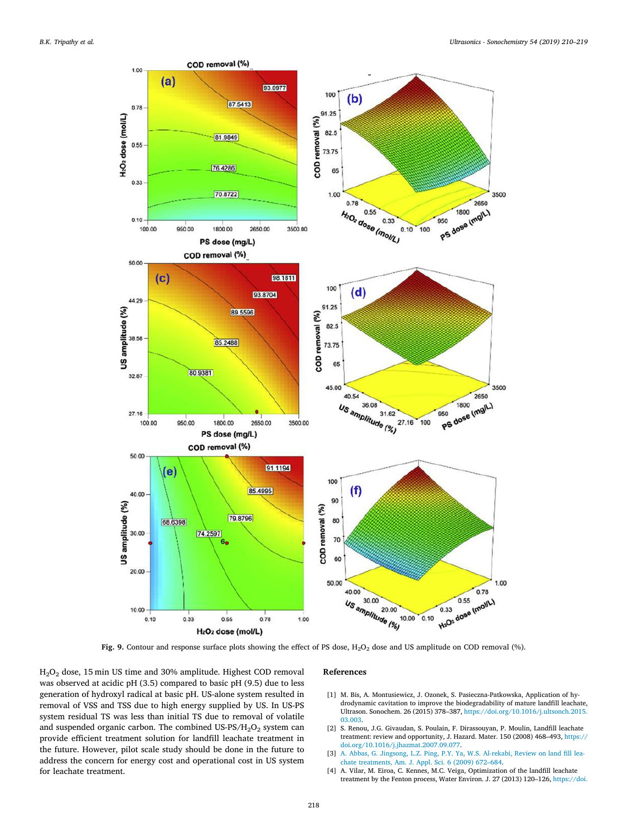<span id="page-8-4"></span>

Fig. 9. Contour and response surface plots showing the effect of PS dose, H<sub>2</sub>O<sub>2</sub> dose and US amplitude on COD removal (%).

H2O<sup>2</sup> dose, 15 min US time and 30% amplitude. Highest COD removal was observed at acidic pH (3.5) compared to basic pH (9.5) due to less generation of hydroxyl radical at basic pH. US-alone system resulted in removal of VSS and TSS due to high energy supplied by US. In US-PS system residual TS was less than initial TS due to removal of volatile and suspended organic carbon. The combined US-PS/ $H_2O_2$  system can provide efficient treatment solution for landfill leachate treatment in the future. However, pilot scale study should be done in the future to address the concern for energy cost and operational cost in US system for leachate treatment.

#### **References**

- <span id="page-8-0"></span>[1] M. Bis, A. Montusiewicz, J. Ozonek, S. Pasieczna-Patkowska, Application of hydrodynamic cavitation to improve the biodegradability of mature landfill leachate, Ultrason. Sonochem. 26 (2015) 378–387, [https://doi.org/10.1016/j.ultsonch.2015.](https://doi.org/10.1016/j.ultsonch.2015.03.003) [03.003.](https://doi.org/10.1016/j.ultsonch.2015.03.003)
- <span id="page-8-1"></span>[2] S. Renou, J.G. Givaudan, S. Poulain, F. Dirassouyan, P. Moulin, Landfill leachate treatment: review and opportunity, J. Hazard. Mater. 150 (2008) 468–493, [https://](https://doi.org/10.1016/j.jhazmat.2007.09.077) [doi.org/10.1016/j.jhazmat.2007.09.077.](https://doi.org/10.1016/j.jhazmat.2007.09.077)
- <span id="page-8-2"></span>[3] [A. Abbas, G. Jingsong, L.Z. Ping, P.Y. Ya, W.S. Al-rekabi, Review on land fill lea](http://refhub.elsevier.com/S1350-4177(18)31313-0/h0015)[chate treatments, Am. J. Appl. Sci. 6 \(2009\) 672–684.](http://refhub.elsevier.com/S1350-4177(18)31313-0/h0015)
- <span id="page-8-3"></span>[4] A. Vilar, M. Eiroa, C. Kennes, M.C. Veiga, Optimization of the landfill leachate treatment by the Fenton process, Water Environ. J. 27 (2013) 120–126, [https://doi.](https://doi.org/10.1111/j.1747-6593.2012.00333.x)